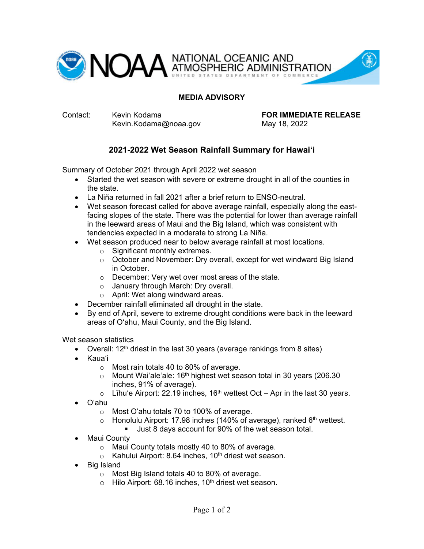

### **MEDIA ADVISORY**

Kevin.Kodama@noaa.gov May 18, 2022

Contact: Kevin Kodama **FOR IMMEDIATE RELEASE**

# **2021-2022 Wet Season Rainfall Summary for Hawai'i**

Summary of October 2021 through April 2022 wet season

- Started the wet season with severe or extreme drought in all of the counties in the state.
- La Niña returned in fall 2021 after a brief return to ENSO-neutral.
- Wet season forecast called for above average rainfall, especially along the eastfacing slopes of the state. There was the potential for lower than average rainfall in the leeward areas of Maui and the Big Island, which was consistent with tendencies expected in a moderate to strong La Niña.
- Wet season produced near to below average rainfall at most locations.
	- o Significant monthly extremes.
	- o October and November: Dry overall, except for wet windward Big Island in October.
	- o December: Very wet over most areas of the state.
	- o January through March: Dry overall.
	- o April: Wet along windward areas.
- December rainfall eliminated all drought in the state.
- By end of April, severe to extreme drought conditions were back in the leeward areas of O'ahu, Maui County, and the Big Island.

Wet season statistics

- Overall:  $12<sup>th</sup>$  driest in the last 30 years (average rankings from 8 sites)
- Kaua'i
	- o Most rain totals 40 to 80% of average.
	- $\circ$  Mount Wai'ale'ale: 16<sup>th</sup> highest wet season total in 30 years (206.30 inches, 91% of average).
	- $\circ$  Līhu'e Airport: 22.19 inches, 16<sup>th</sup> wettest Oct Apr in the last 30 years.
- O'ahu
	- o Most O'ahu totals 70 to 100% of average.
	- $\circ$  Honolulu Airport: 17.98 inches (140% of average), ranked 6<sup>th</sup> wettest.
		- Uust 8 days account for 90% of the wet season total.
- Maui County
	- o Maui County totals mostly 40 to 80% of average.
	- $\circ$  Kahului Airport: 8.64 inches, 10<sup>th</sup> driest wet season.
- Big Island
	- o Most Big Island totals 40 to 80% of average.
	- $\circ$  Hilo Airport: 68.16 inches, 10<sup>th</sup> driest wet season.